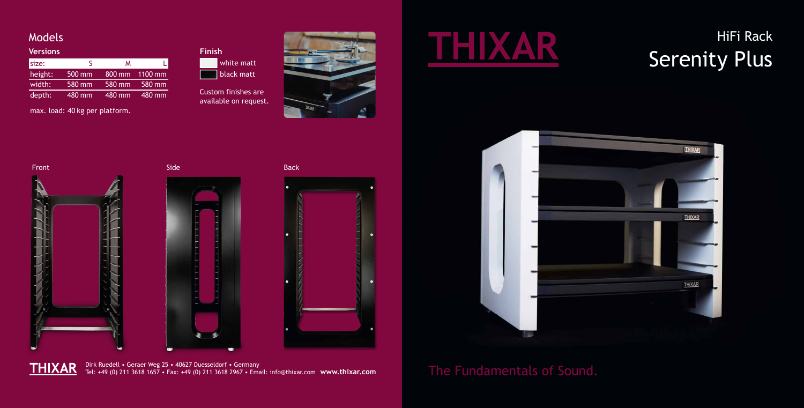**THIXAR** Dirk Ruedell • Geraer Weg 25 • 40627 Duesseldorf • Germany Tel: +49 (0) 211 3618 1657 • Fax: +49 (0) 211 3618 2967 • Email: info@thixar.com **www.thixar.com**

## Models

## HiFi Rack THIXAR HiFi Rack<br>Serenity Plus



| <b>Versions</b> |        |        |                |
|-----------------|--------|--------|----------------|
| size:           |        | м      |                |
| height:         | 500 mm |        | 800 mm 1100 mm |
| width:          | 580 mm | 580 mm | 580 mm         |
| depth:          | 480 mm | 480 mm | $480$ mm       |

max. load: 40 kg per platform.



Custom finishes are available on request.











The Fundamentals of Sound.